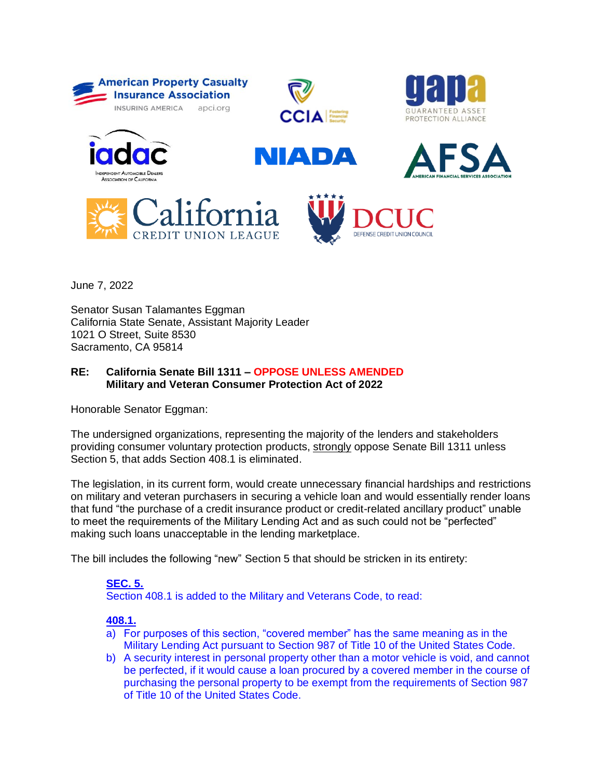















June 7, 2022

Senator Susan Talamantes Eggman California State Senate, Assistant Majority Leader 1021 O Street, Suite 8530 Sacramento, CA 95814

## **RE: California Senate Bill 1311 – OPPOSE UNLESS AMENDED Military and Veteran Consumer Protection Act of 2022**

Honorable Senator Eggman:

The undersigned organizations, representing the majority of the lenders and stakeholders providing consumer voluntary protection products, strongly oppose Senate Bill 1311 unless Section 5, that adds Section 408.1 is eliminated.

The legislation, in its current form, would create unnecessary financial hardships and restrictions on military and veteran purchasers in securing a vehicle loan and would essentially render loans that fund "the purchase of a credit insurance product or credit-related ancillary product" unable to meet the requirements of the Military Lending Act and as such could not be "perfected" making such loans unacceptable in the lending marketplace.

The bill includes the following "new" Section 5 that should be stricken in its entirety:

## **SEC. 5.** Section 408.1 is added to the Military and Veterans Code, to read:

## **408.1.**

- a) For purposes of this section, "covered member" has the same meaning as in the Military Lending Act pursuant to Section 987 of Title 10 of the United States Code.
- b) A security interest in personal property other than a motor vehicle is void, and cannot be perfected, if it would cause a loan procured by a covered member in the course of purchasing the personal property to be exempt from the requirements of Section 987 of Title 10 of the United States Code.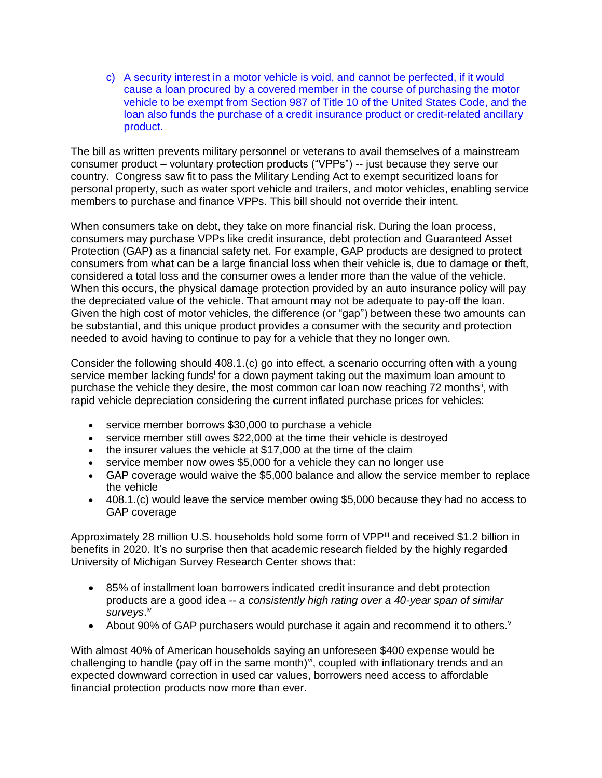c) A security interest in a motor vehicle is void, and cannot be perfected, if it would cause a loan procured by a covered member in the course of purchasing the motor vehicle to be exempt from Section 987 of Title 10 of the United States Code, and the loan also funds the purchase of a credit insurance product or credit-related ancillary product.

The bill as written prevents military personnel or veterans to avail themselves of a mainstream consumer product – voluntary protection products ("VPPs") -- just because they serve our country. Congress saw fit to pass the Military Lending Act to exempt securitized loans for personal property, such as water sport vehicle and trailers, and motor vehicles, enabling service members to purchase and finance VPPs. This bill should not override their intent.

When consumers take on debt, they take on more financial risk. During the loan process, consumers may purchase VPPs like credit insurance, debt protection and Guaranteed Asset Protection (GAP) as a financial safety net. For example, GAP products are designed to protect consumers from what can be a large financial loss when their vehicle is, due to damage or theft, considered a total loss and the consumer owes a lender more than the value of the vehicle. When this occurs, the physical damage protection provided by an auto insurance policy will pay the depreciated value of the vehicle. That amount may not be adequate to pay-off the loan. Given the high cost of motor vehicles, the difference (or "gap") between these two amounts can be substantial, and this unique product provides a consumer with the security and protection needed to avoid having to continue to pay for a vehicle that they no longer own.

Consider the following should 408.1.(c) go into effect, a scenario occurring often with a young service member lacking funds<sup>i</sup> for a down payment taking out the maximum loan amount to purchase the vehicle they desire, the most common car loan now reaching 72 months<sup>ii</sup>, with rapid vehicle depreciation considering the current inflated purchase prices for vehicles:

- service member borrows \$30,000 to purchase a vehicle
- service member still owes \$22,000 at the time their vehicle is destroyed
- the insurer values the vehicle at \$17,000 at the time of the claim
- service member now owes \$5,000 for a vehicle they can no longer use
- GAP coverage would waive the \$5,000 balance and allow the service member to replace the vehicle
- 408.1.(c) would leave the service member owing \$5,000 because they had no access to GAP coverage

Approximately 28 million U.S. households hold some form of VPP<sup>iii</sup> and received \$1.2 billion in benefits in 2020. It's no surprise then that academic research fielded by the highly regarded University of Michigan Survey Research Center shows that:

- 85% of installment loan borrowers indicated credit insurance and debt protection products are a good idea -- *a consistently high rating over a 40-year span of similar*  surveys.<sup>iv</sup>
- About 90% of GAP purchasers would purchase it again and recommend it to others.  $\theta$

With almost 40% of American households saying an unforeseen \$400 expense would be challenging to handle (pay off in the same month) $\forall i$ , coupled with inflationary trends and an expected downward correction in used car values, borrowers need access to affordable financial protection products now more than ever.